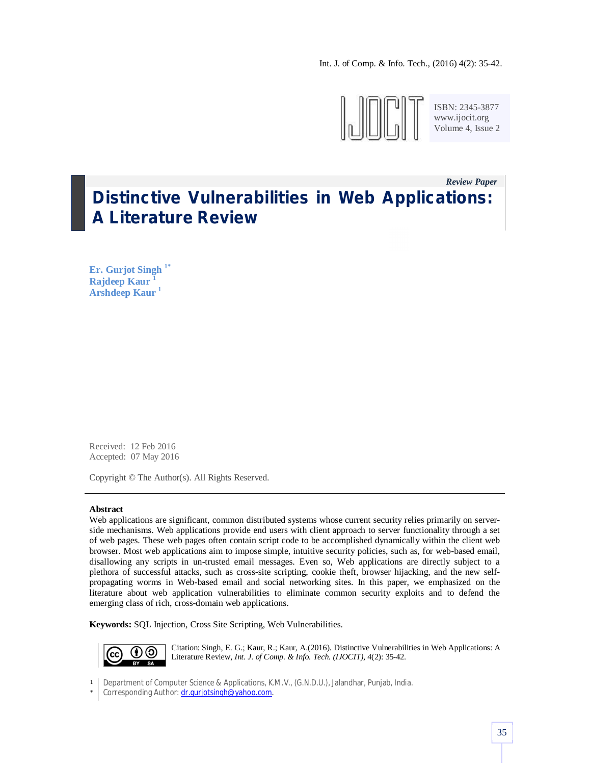Int. J. of Comp. & Info. Tech., (2016) 4(2): 35-42.



ISBN: 2345-3877 www.ijocit.org Volume 4, Issue 2

# *Review Paper\_\_* **Distinctive Vulnerabilities in Web Applications: A Literature Review**

**Er. Gurjot Singh 1\* Rajdeep Kaur <sup>1</sup> Arshdeep Kaur <sup>1</sup>**

Received: 12 Feb 2016 Accepted: 07 May 2016

Copyright © The Author(s). All Rights Reserved.

#### **Abstract**

Web applications are significant, common distributed systems whose current security relies primarily on serverside mechanisms. Web applications provide end users with client approach to server functionality through a set of web pages. These web pages often contain script code to be accomplished dynamically within the client web browser. Most web applications aim to impose simple, intuitive security policies, such as, for web-based email, disallowing any scripts in un-trusted email messages. Even so, Web applications are directly subject to a plethora of successful attacks, such as cross-site scripting, cookie theft, browser hijacking, and the new selfpropagating worms in Web-based email and social networking sites. In this paper, we emphasized on the literature about web application vulnerabilities to eliminate common security exploits and to defend the emerging class of rich, cross-domain web applications.

**Keywords:** SQL Injection, Cross Site Scripting, Web Vulnerabilities.



Citation: Singh, E. G.; Kaur, R.; Kaur, A.(2016). Distinctive Vulnerabilities in Web Applications: A Literature Review, *Int. J. of Comp. & Info. Tech. (IJOCIT)*, 4(2): 35-42.

1 Department of Computer Science & Applications, K.M.V., (G.N.D.U.), Jalandhar, Punjab, India.

\* Corresponding Author: dr.gurjotsingh@yahoo.com.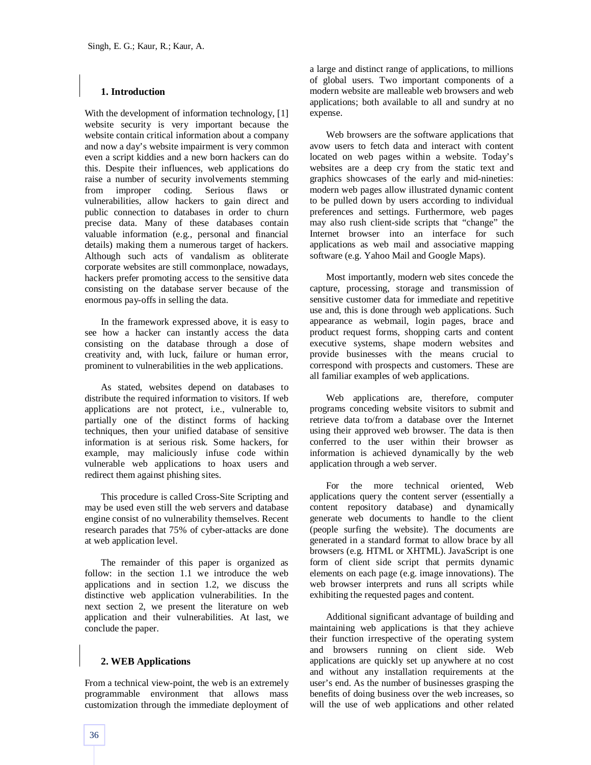#### **1. Introduction**

With the development of information technology, [1] website security is very important because the website contain critical information about a company and now a day's website impairment is very common even a script kiddies and a new born hackers can do this. Despite their influences, web applications do raise a number of security involvements stemming from improper coding. Serious flaws or vulnerabilities, allow hackers to gain direct and public connection to databases in order to churn precise data. Many of these databases contain valuable information (e.g., personal and financial details) making them a numerous target of hackers. Although such acts of vandalism as obliterate corporate websites are still commonplace, nowadays, hackers prefer promoting access to the sensitive data consisting on the database server because of the enormous pay-offs in selling the data.

In the framework expressed above, it is easy to see how a hacker can instantly access the data consisting on the database through a dose of creativity and, with luck, failure or human error, prominent to vulnerabilities in the web applications.

As stated, websites depend on databases to distribute the required information to visitors. If web applications are not protect, i.e., vulnerable to, partially one of the distinct forms of hacking techniques, then your unified database of sensitive information is at serious risk. Some hackers, for example, may maliciously infuse code within vulnerable web applications to hoax users and redirect them against phishing sites.

This procedure is called Cross-Site Scripting and may be used even still the web servers and database engine consist of no vulnerability themselves. Recent research parades that 75% of cyber-attacks are done at web application level.

The remainder of this paper is organized as follow: in the section 1.1 we introduce the web applications and in section 1.2, we discuss the distinctive web application vulnerabilities. In the next section 2, we present the literature on web application and their vulnerabilities. At last, we conclude the paper.

## **2. WEB Applications**

From a technical view-point, the web is an extremely programmable environment that allows mass customization through the immediate deployment of a large and distinct range of applications, to millions of global users. Two important components of a modern website are malleable web browsers and web applications; both available to all and sundry at no expense.

Web browsers are the software applications that avow users to fetch data and interact with content located on web pages within a website. Today's websites are a deep cry from the static text and graphics showcases of the early and mid-nineties: modern web pages allow illustrated dynamic content to be pulled down by users according to individual preferences and settings. Furthermore, web pages may also rush client-side scripts that "change" the Internet browser into an interface for such applications as web mail and associative mapping software (e.g. Yahoo Mail and Google Maps).

Most importantly, modern web sites concede the capture, processing, storage and transmission of sensitive customer data for immediate and repetitive use and, this is done through web applications. Such appearance as webmail, login pages, brace and product request forms, shopping carts and content executive systems, shape modern websites and provide businesses with the means crucial to correspond with prospects and customers. These are all familiar examples of web applications.

Web applications are, therefore, computer programs conceding website visitors to submit and retrieve data to/from a database over the Internet using their approved web browser. The data is then conferred to the user within their browser as information is achieved dynamically by the web application through a web server.

For the more technical oriented, Web applications query the content server (essentially a content repository database) and dynamically generate web documents to handle to the client (people surfing the website). The documents are generated in a standard format to allow brace by all browsers (e.g. HTML or XHTML). JavaScript is one form of client side script that permits dynamic elements on each page (e.g. image innovations). The web browser interprets and runs all scripts while exhibiting the requested pages and content.

Additional significant advantage of building and maintaining web applications is that they achieve their function irrespective of the operating system and browsers running on client side. Web applications are quickly set up anywhere at no cost and without any installation requirements at the user's end. As the number of businesses grasping the benefits of doing business over the web increases, so will the use of web applications and other related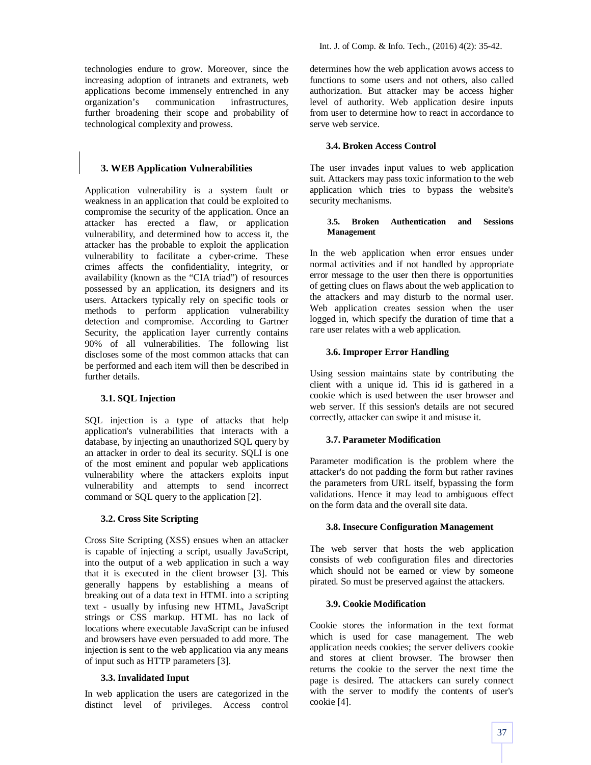technologies endure to grow. Moreover, since the increasing adoption of intranets and extranets, web applications become immensely entrenched in any organization's communication infrastructures, further broadening their scope and probability of technological complexity and prowess.

# **3. WEB Application Vulnerabilities**

Application vulnerability is a system fault or weakness in an application that could be exploited to compromise the security of the application. Once an attacker has erected a flaw, or application vulnerability, and determined how to access it, the attacker has the probable to exploit the application vulnerability to facilitate a cyber-crime. These crimes affects the confidentiality, integrity, or availability (known as the "CIA triad") of resources possessed by an application, its designers and its users. Attackers typically rely on specific tools or methods to perform application vulnerability detection and compromise. According to Gartner Security, the application layer currently contains 90% of all vulnerabilities. The following list discloses some of the most common attacks that can be performed and each item will then be described in further details.

## **3.1. SQL Injection**

SQL injection is a type of attacks that help application's vulnerabilities that interacts with a database, by injecting an unauthorized SQL query by an attacker in order to deal its security. SQLI is one of the most eminent and popular web applications vulnerability where the attackers exploits input vulnerability and attempts to send incorrect command or SQL query to the application [2].

## **3.2. Cross Site Scripting**

Cross Site Scripting (XSS) ensues when an attacker is capable of injecting a script, usually JavaScript, into the output of a web application in such a way that it is executed in the client browser [3]. This generally happens by establishing a means of breaking out of a data text in HTML into a scripting text - usually by infusing new HTML, JavaScript strings or CSS markup. HTML has no lack of locations where executable JavaScript can be infused and browsers have even persuaded to add more. The injection is sent to the web application via any means of input such as HTTP parameters [3].

# **3.3. Invalidated Input**

In web application the users are categorized in the distinct level of privileges. Access control determines how the web application avows access to functions to some users and not others, also called authorization. But attacker may be access higher level of authority. Web application desire inputs from user to determine how to react in accordance to serve web service.

## **3.4. Broken Access Control**

The user invades input values to web application suit. Attackers may pass toxic information to the web application which tries to bypass the website's security mechanisms.

#### **3.5. Broken Authentication and Sessions Management**

In the web application when error ensues under normal activities and if not handled by appropriate error message to the user then there is opportunities of getting clues on flaws about the web application to the attackers and may disturb to the normal user. Web application creates session when the user logged in, which specify the duration of time that a rare user relates with a web application.

## **3.6. Improper Error Handling**

Using session maintains state by contributing the client with a unique id. This id is gathered in a cookie which is used between the user browser and web server. If this session's details are not secured correctly, attacker can swipe it and misuse it.

## **3.7. Parameter Modification**

Parameter modification is the problem where the attacker's do not padding the form but rather ravines the parameters from URL itself, bypassing the form validations. Hence it may lead to ambiguous effect on the form data and the overall site data.

## **3.8. Insecure Configuration Management**

The web server that hosts the web application consists of web configuration files and directories which should not be earned or view by someone pirated. So must be preserved against the attackers.

## **3.9. Cookie Modification**

Cookie stores the information in the text format which is used for case management. The web application needs cookies; the server delivers cookie and stores at client browser. The browser then returns the cookie to the server the next time the page is desired. The attackers can surely connect with the server to modify the contents of user's cookie [4].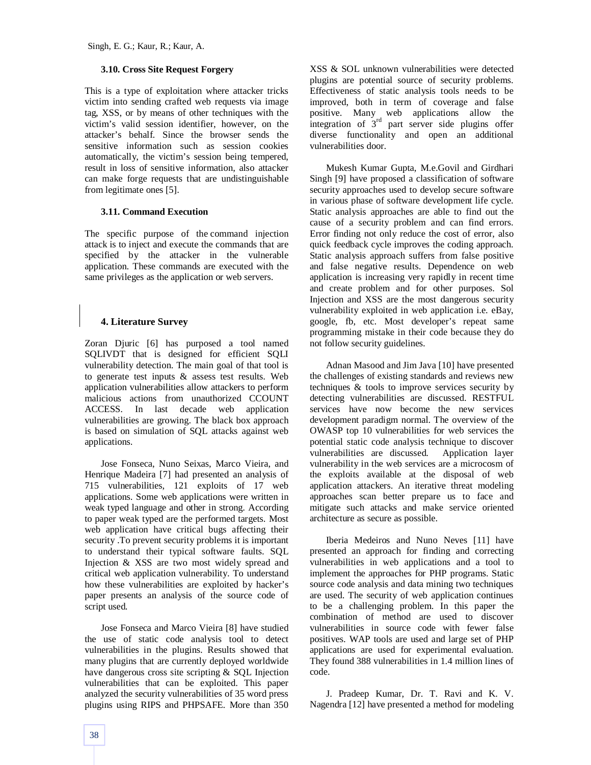## **3.10. Cross Site Request Forgery**

This is a type of exploitation where attacker tricks victim into sending crafted web requests via image tag, XSS, or by means of other techniques with the victim's valid session identifier, however, on the attacker's behalf. Since the browser sends the sensitive information such as session cookies automatically, the victim's session being tempered, result in loss of sensitive information, also attacker can make forge requests that are undistinguishable from legitimate ones [5].

## **3.11. Command Execution**

The specific purpose of the command injection attack is to inject and execute the commands that are specified by the attacker in the vulnerable application. These commands are executed with the same privileges as the application or web servers.

# **4. Literature Survey**

Zoran Djuric [6] has purposed a tool named SQLIVDT that is designed for efficient SQLI vulnerability detection. The main goal of that tool is to generate test inputs & assess test results. Web application vulnerabilities allow attackers to perform malicious actions from unauthorized CCOUNT ACCESS. In last decade web application vulnerabilities are growing. The black box approach is based on simulation of SQL attacks against web applications.

Jose Fonseca, Nuno Seixas, Marco Vieira, and Henrique Madeira [7] had presented an analysis of 715 vulnerabilities, 121 exploits of 17 web applications. Some web applications were written in weak typed language and other in strong. According to paper weak typed are the performed targets. Most web application have critical bugs affecting their security .To prevent security problems it is important to understand their typical software faults. SQL Injection & XSS are two most widely spread and critical web application vulnerability. To understand how these vulnerabilities are exploited by hacker's paper presents an analysis of the source code of script used.

Jose Fonseca and Marco Vieira [8] have studied the use of static code analysis tool to detect vulnerabilities in the plugins. Results showed that many plugins that are currently deployed worldwide have dangerous cross site scripting & SQL Injection vulnerabilities that can be exploited. This paper analyzed the security vulnerabilities of 35 word press plugins using RIPS and PHPSAFE. More than 350 XSS & SOL unknown vulnerabilities were detected plugins are potential source of security problems. Effectiveness of static analysis tools needs to be improved, both in term of coverage and false positive. Many web applications allow the integration of  $3<sup>rd</sup>$  part server side plugins offer diverse functionality and open an additional vulnerabilities door.

Mukesh Kumar Gupta, M.e.Govil and Girdhari Singh [9] have proposed a classification of software security approaches used to develop secure software in various phase of software development life cycle. Static analysis approaches are able to find out the cause of a security problem and can find errors. Error finding not only reduce the cost of error, also quick feedback cycle improves the coding approach. Static analysis approach suffers from false positive and false negative results. Dependence on web application is increasing very rapidly in recent time and create problem and for other purposes. Sol Injection and XSS are the most dangerous security vulnerability exploited in web application i.e. eBay, google, fb, etc. Most developer's repeat same programming mistake in their code because they do not follow security guidelines.

Adnan Masood and Jim Java [10] have presented the challenges of existing standards and reviews new techniques & tools to improve services security by detecting vulnerabilities are discussed. RESTFUL services have now become the new services development paradigm normal. The overview of the OWASP top 10 vulnerabilities for web services the potential static code analysis technique to discover vulnerabilities are discussed. Application layer vulnerability in the web services are a microcosm of the exploits available at the disposal of web application attackers. An iterative threat modeling approaches scan better prepare us to face and mitigate such attacks and make service oriented architecture as secure as possible.

Iberia Medeiros and Nuno Neves [11] have presented an approach for finding and correcting vulnerabilities in web applications and a tool to implement the approaches for PHP programs. Static source code analysis and data mining two techniques are used. The security of web application continues to be a challenging problem. In this paper the combination of method are used to discover vulnerabilities in source code with fewer false positives. WAP tools are used and large set of PHP applications are used for experimental evaluation. They found 388 vulnerabilities in 1.4 million lines of code.

J. Pradeep Kumar, Dr. T. Ravi and K. V. Nagendra [12] have presented a method for modeling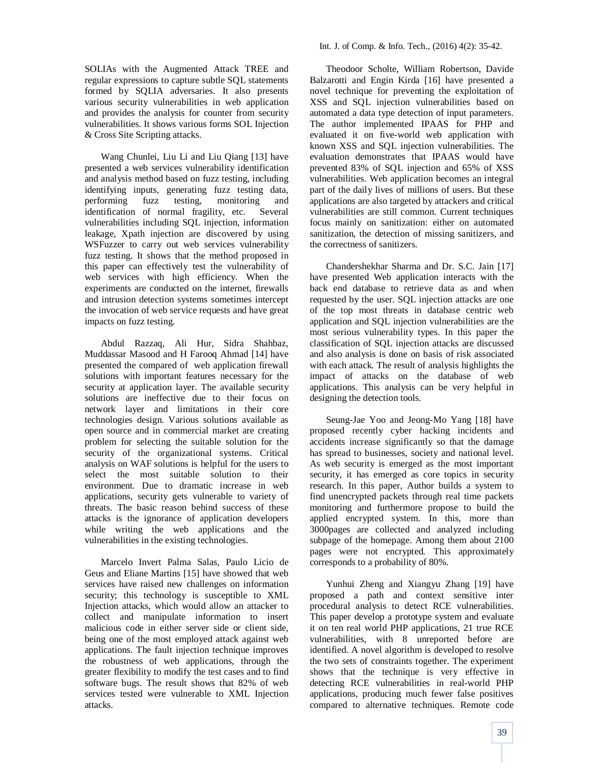SOLIAs with the Augmented Attack TREE and regular expressions to capture subtle SQL statements formed by SQLIA adversaries. It also presents various security vulnerabilities in web application and provides the analysis for counter from security vulnerabilities. It shows various forms SOL Injection & Cross Site Scripting attacks.

Wang Chunlei, Liu Li and Liu Qiang [13] have presented a web services vulnerability identification and analysis method based on fuzz testing, including identifying inputs, generating fuzz testing data, performing fuzz testing, monitoring and identification of normal fragility, etc. Several vulnerabilities including SQL injection, information leakage, Xpath injection are discovered by using WSFuzzer to carry out web services vulnerability fuzz testing. It shows that the method proposed in this paper can effectively test the vulnerability of web services with high efficiency. When the experiments are conducted on the internet, firewalls and intrusion detection systems sometimes intercept the invocation of web service requests and have great impacts on fuzz testing.

Abdul Razzaq, Ali Hur, Sidra Shahbaz, Muddassar Masood and H Farooq Ahmad [14] have presented the compared of web application firewall solutions with important features necessary for the security at application layer. The available security solutions are ineffective due to their focus on network layer and limitations in their core technologies design. Various solutions available as open source and in commercial market are creating problem for selecting the suitable solution for the security of the organizational systems. Critical analysis on WAF solutions is helpful for the users to select the most suitable solution to their environment. Due to dramatic increase in web applications, security gets vulnerable to variety of threats. The basic reason behind success of these attacks is the ignorance of application developers while writing the web applications and the vulnerabilities in the existing technologies.

Marcelo Invert Palma Salas, Paulo Licio de Geus and Eliane Martins [15] have showed that web services have raised new challenges on information security; this technology is susceptible to XML Injection attacks, which would allow an attacker to collect and manipulate information to insert malicious code in either server side or client side, being one of the most employed attack against web applications. The fault injection technique improves the robustness of web applications, through the greater flexibility to modify the test cases and to find software bugs. The result shows that 82% of web services tested were vulnerable to XML Injection attacks.

Theodoor Scholte, William Robertson, Davide Balzarotti and Engin Kirda [16] have presented a novel technique for preventing the exploitation of XSS and SQL injection vulnerabilities based on automated a data type detection of input parameters. The author implemented IPAAS for PHP and evaluated it on five-world web application with known XSS and SQL injection vulnerabilities. The evaluation demonstrates that IPAAS would have prevented 83% of SQL injection and 65% of XSS vulnerabilities. Web application becomes an integral part of the daily lives of millions of users. But these applications are also targeted by attackers and critical vulnerabilities are still common. Current techniques focus mainly on sanitization: either on automated sanitization, the detection of missing sanitizers, and the correctness of sanitizers.

Chandershekhar Sharma and Dr. S.C. Jain [17] have presented Web application interacts with the back end database to retrieve data as and when requested by the user. SQL injection attacks are one of the top most threats in database centric web application and SQL injection vulnerabilities are the most serious vulnerability types. In this paper the classification of SQL injection attacks are discussed and also analysis is done on basis of risk associated with each attack. The result of analysis highlights the impact of attacks on the database of web applications. This analysis can be very helpful in designing the detection tools.

Seung-Jae Yoo and Jeong-Mo Yang [18] have proposed recently cyber hacking incidents and accidents increase significantly so that the damage has spread to businesses, society and national level. As web security is emerged as the most important security, it has emerged as core topics in security research. In this paper, Author builds a system to find unencrypted packets through real time packets monitoring and furthermore propose to build the applied encrypted system. In this, more than 3000pages are collected and analyzed including subpage of the homepage. Among them about 2100 pages were not encrypted. This approximately corresponds to a probability of 80%.

Yunhui Zheng and Xiangyu Zhang [19] have proposed a path and context sensitive inter procedural analysis to detect RCE vulnerabilities. This paper develop a prototype system and evaluate it on ten real world PHP applications, 21 true RCE vulnerabilities, with 8 unreported before are identified. A novel algorithm is developed to resolve the two sets of constraints together. The experiment shows that the technique is very effective in detecting RCE vulnerabilities in real-world PHP applications, producing much fewer false positives compared to alternative techniques. Remote code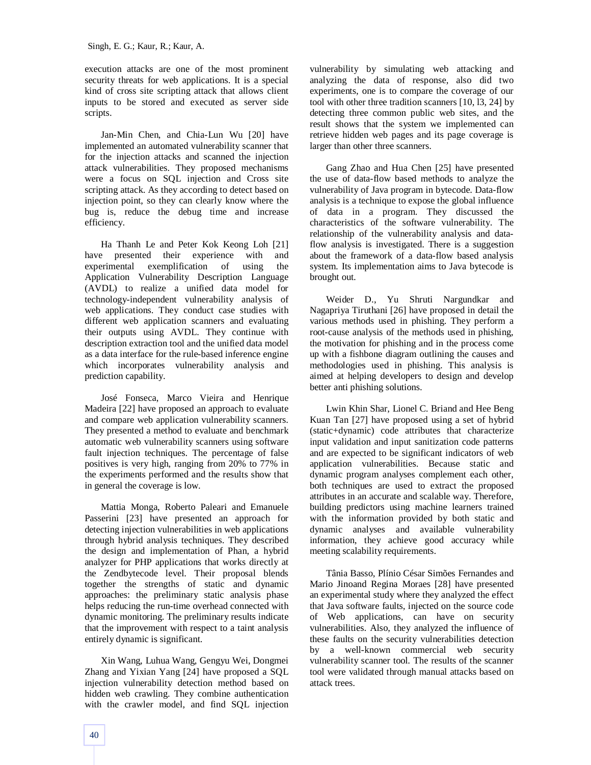execution attacks are one of the most prominent security threats for web applications. It is a special kind of cross site scripting attack that allows client inputs to be stored and executed as server side scripts.

Jan-Min Chen, and Chia-Lun Wu [20] have implemented an automated vulnerability scanner that for the injection attacks and scanned the injection attack vulnerabilities. They proposed mechanisms were a focus on SQL injection and Cross site scripting attack. As they according to detect based on injection point, so they can clearly know where the bug is, reduce the debug time and increase efficiency.

Ha Thanh Le and Peter Kok Keong Loh [21] have presented their experience with and experimental exemplification of using the Application Vulnerability Description Language (AVDL) to realize a unified data model for technology-independent vulnerability analysis of web applications. They conduct case studies with different web application scanners and evaluating their outputs using AVDL. They continue with description extraction tool and the unified data model as a data interface for the rule-based inference engine which incorporates vulnerability analysis and prediction capability.

José Fonseca, Marco Vieira and Henrique Madeira [22] have proposed an approach to evaluate and compare web application vulnerability scanners. They presented a method to evaluate and benchmark automatic web vulnerability scanners using software fault injection techniques. The percentage of false positives is very high, ranging from 20% to 77% in the experiments performed and the results show that in general the coverage is low.

Mattia Monga, Roberto Paleari and Emanuele Passerini [23] have presented an approach for detecting injection vulnerabilities in web applications through hybrid analysis techniques. They described the design and implementation of Phan, a hybrid analyzer for PHP applications that works directly at the Zendbytecode level. Their proposal blends together the strengths of static and dynamic approaches: the preliminary static analysis phase helps reducing the run-time overhead connected with dynamic monitoring. The preliminary results indicate that the improvement with respect to a taint analysis entirely dynamic is significant.

Xin Wang, Luhua Wang, Gengyu Wei, Dongmei Zhang and Yixian Yang [24] have proposed a SQL injection vulnerability detection method based on hidden web crawling. They combine authentication with the crawler model, and find SQL injection

vulnerability by simulating web attacking and analyzing the data of response, also did two experiments, one is to compare the coverage of our tool with other three tradition scanners [10, l3, 24] by detecting three common public web sites, and the result shows that the system we implemented can retrieve hidden web pages and its page coverage is larger than other three scanners.

Gang Zhao and Hua Chen [25] have presented the use of data-flow based methods to analyze the vulnerability of Java program in bytecode. Data-flow analysis is a technique to expose the global influence of data in a program. They discussed the characteristics of the software vulnerability. The relationship of the vulnerability analysis and dataflow analysis is investigated. There is a suggestion about the framework of a data-flow based analysis system. Its implementation aims to Java bytecode is brought out.

Weider D., Yu Shruti Nargundkar and Nagapriya Tiruthani [26] have proposed in detail the various methods used in phishing. They perform a root-cause analysis of the methods used in phishing, the motivation for phishing and in the process come up with a fishbone diagram outlining the causes and methodologies used in phishing. This analysis is aimed at helping developers to design and develop better anti phishing solutions.

Lwin Khin Shar, Lionel C. Briand and Hee Beng Kuan Tan [27] have proposed using a set of hybrid (static+dynamic) code attributes that characterize input validation and input sanitization code patterns and are expected to be significant indicators of web application vulnerabilities. Because static and dynamic program analyses complement each other, both techniques are used to extract the proposed attributes in an accurate and scalable way. Therefore, building predictors using machine learners trained with the information provided by both static and dynamic analyses and available vulnerability information, they achieve good accuracy while meeting scalability requirements.

Tânia Basso, Plínio César Simões Fernandes and Mario Jinoand Regina Moraes [28] have presented an experimental study where they analyzed the effect that Java software faults, injected on the source code of Web applications, can have on security vulnerabilities. Also, they analyzed the influence of these faults on the security vulnerabilities detection by a well-known commercial web security vulnerability scanner tool. The results of the scanner tool were validated through manual attacks based on attack trees.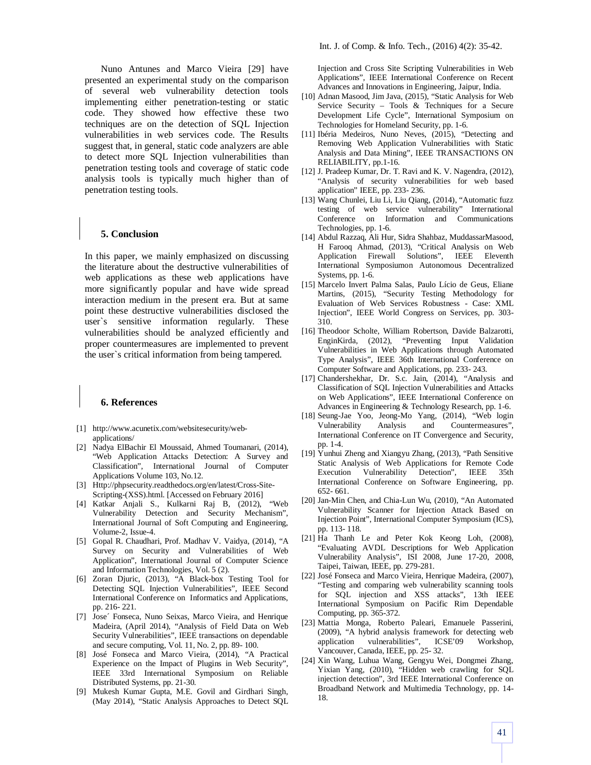Nuno Antunes and Marco Vieira [29] have presented an experimental study on the comparison of several web vulnerability detection tools implementing either penetration-testing or static code. They showed how effective these two techniques are on the detection of SQL Injection vulnerabilities in web services code. The Results suggest that, in general, static code analyzers are able to detect more SQL Injection vulnerabilities than penetration testing tools and coverage of static code analysis tools is typically much higher than of penetration testing tools.

#### **5. Conclusion**

In this paper, we mainly emphasized on discussing the literature about the destructive vulnerabilities of web applications as these web applications have more significantly popular and have wide spread interaction medium in the present era. But at same point these destructive vulnerabilities disclosed the user`s sensitive information regularly. These vulnerabilities should be analyzed efficiently and proper countermeasures are implemented to prevent the user`s critical information from being tampered.

#### **6. References**

- [1] http://www.acunetix.com/websitesecurity/webapplications/
- [2] Nadya ElBachir El Moussaid, Ahmed Toumanari, (2014), "Web Application Attacks Detection: A Survey and Classification", International Journal of Computer Applications Volume 103, No.12.
- [3] Http://phpsecurity.readthedocs.org/en/latest/Cross-Site-Scripting-(XSS).html. [Accessed on February 2016]
- [4] Katkar Anjali S., Kulkarni Raj B, (2012), "Web Vulnerability Detection and Security Mechanism", International Journal of Soft Computing and Engineering, Volume-2, Issue-4.
- [5] Gopal R. Chaudhari, Prof. Madhav V. Vaidya, (2014), "A Survey on Security and Vulnerabilities of Web Application", International Journal of Computer Science and Information Technologies, Vol. 5 (2).
- [6] Zoran Djuric, (2013), "A Black-box Testing Tool for Detecting SQL Injection Vulnerabilities", IEEE Second International Conference on Informatics and Applications, pp. 216- 221.
- [7] Jose´ Fonseca, Nuno Seixas, Marco Vieira, and Henrique Madeira, (April 2014), "Analysis of Field Data on Web Security Vulnerabilities", IEEE transactions on dependable and secure computing, Vol. 11, No. 2, pp. 89- 100.
- [8] José Fonseca and Marco Vieira, (2014), "A Practical Experience on the Impact of Plugins in Web Security", IEEE 33rd International Symposium on Reliable Distributed Systems, pp. 21-30.
- [9] Mukesh Kumar Gupta, M.E. Govil and Girdhari Singh, (May 2014), "Static Analysis Approaches to Detect SQL

Injection and Cross Site Scripting Vulnerabilities in Web Applications", IEEE International Conference on Recent Advances and Innovations in Engineering, Jaipur, India.

- [10] Adnan Masood, Jim Java, (2015), "Static Analysis for Web Service Security – Tools & Techniques for a Secure Development Life Cycle", International Symposium on Technologies for Homeland Security, pp. 1-6.
- [11] Ibéria Medeiros, Nuno Neves, (2015), "Detecting and Removing Web Application Vulnerabilities with Static Analysis and Data Mining", IEEE TRANSACTIONS ON RELIABILITY, pp.1-16.
- [12] J. Pradeep Kumar, Dr. T. Ravi and K. V. Nagendra, (2012), "Analysis of security vulnerabilities for web based application" IEEE, pp. 233- 236.
- [13] Wang Chunlei, Liu Li, Liu Qiang, (2014), "Automatic fuzz testing of web service vulnerability" International Conference on Information and Communications Technologies, pp. 1-6.
- [14] Abdul Razzaq, Ali Hur, Sidra Shahbaz, MuddassarMasood, H Farooq Ahmad, (2013), "Critical Analysis on Web Application Firewall Solutions", IEEE Eleventh International Symposiumon Autonomous Decentralized Systems, pp. 1-6.
- [15] Marcelo Invert Palma Salas, Paulo Lício de Geus, Eliane Martins, (2015), "Security Testing Methodology for Evaluation of Web Services Robustness - Case: XML Injection", IEEE World Congress on Services, pp. 303- 310.
- [16] Theodoor Scholte, William Robertson, Davide Balzarotti, EnginKirda, (2012), "Preventing Input Validation Vulnerabilities in Web Applications through Automated Type Analysis", IEEE 36th International Conference on Computer Software and Applications, pp. 233- 243.
- [17] Chandershekhar, Dr. S.c. Jain, (2014), "Analysis and Classification of SQL Injection Vulnerabilities and Attacks on Web Applications", IEEE International Conference on Advances in Engineering & Technology Research, pp. 1-6.
- [18] Seung-Jae Yoo, Jeong-Mo Yang, (2014), "Web login Vulnerability Analysis and Countermeasures", International Conference on IT Convergence and Security, pp. 1-4.
- [19] Yunhui Zheng and Xiangyu Zhang, (2013), "Path Sensitive Static Analysis of Web Applications for Remote Code Execution Vulnerability Detection", IEEE 35th International Conference on Software Engineering, pp. 652- 661.
- [20] Jan-Min Chen, and Chia-Lun Wu, (2010), "An Automated Vulnerability Scanner for Injection Attack Based on Injection Point", International Computer Symposium (ICS), pp. 113- 118.
- [21] Ha Thanh Le and Peter Kok Keong Loh, (2008), "Evaluating AVDL Descriptions for Web Application Vulnerability Analysis", ISI 2008, June 17-20, 2008, Taipei, Taiwan, IEEE, pp. 279-281.
- [22] José Fonseca and Marco Vieira, Henrique Madeira, (2007), "Testing and comparing web vulnerability scanning tools for SQL injection and XSS attacks", 13th IEEE International Symposium on Pacific Rim Dependable Computing, pp. 365-372.
- [23] Mattia Monga, Roberto Paleari, Emanuele Passerini, (2009), "A hybrid analysis framework for detecting web application vulnerabilities", ICSE'09 Workshop, Vancouver, Canada, IEEE, pp. 25- 32.
- [24] Xin Wang, Luhua Wang, Gengyu Wei, Dongmei Zhang, Yixian Yang, (2010), "Hidden web crawling for SQL injection detection", 3rd IEEE International Conference on Broadband Network and Multimedia Technology, pp. 14- 18.